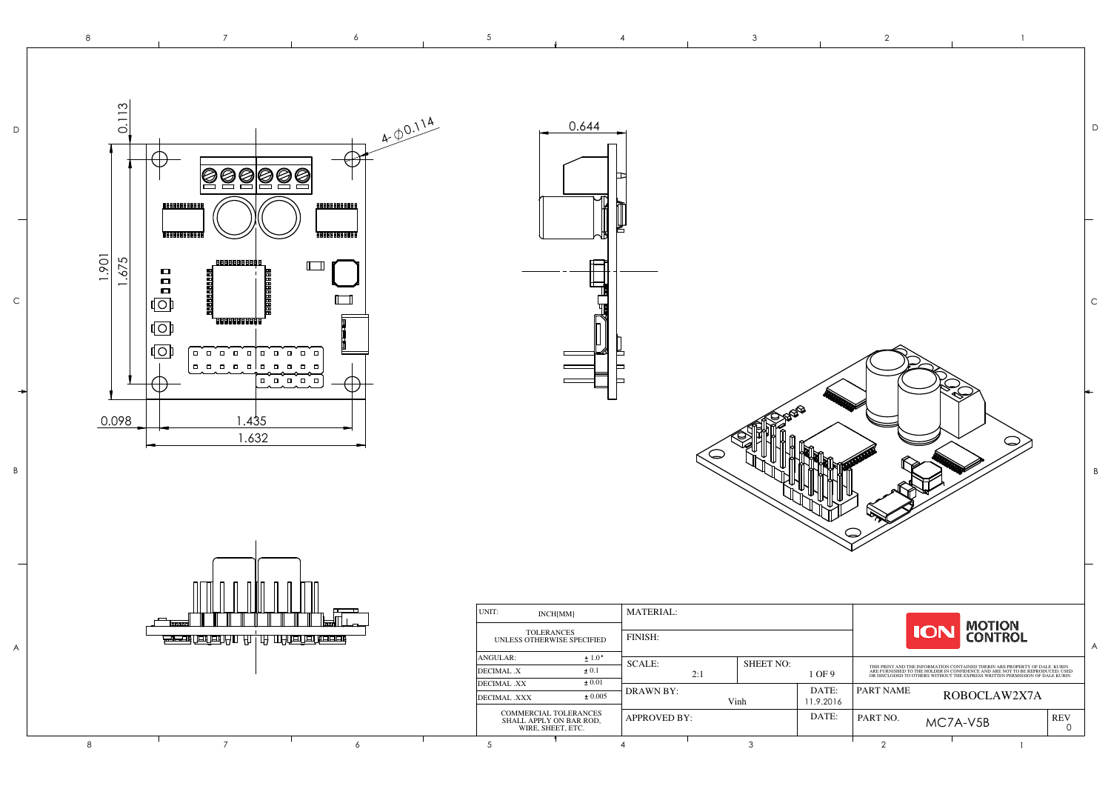A

B

C

D

8

8 7

|                  |                    |           |            |                                                                                                                                                                                                                                      |                            | $\mathsf D$      |
|------------------|--------------------|-----------|------------|--------------------------------------------------------------------------------------------------------------------------------------------------------------------------------------------------------------------------------------|----------------------------|------------------|
|                  |                    |           |            |                                                                                                                                                                                                                                      |                            | $\mathsf C$<br>B |
|                  |                    |           | <b>ION</b> | <b>MOTION<br/>CONTROL</b>                                                                                                                                                                                                            |                            |                  |
| <b>SHEET NO:</b> | 1 OF 9             |           |            | THIS PRINT AND THE INFORMATION CONTAINED THERIN ARE PROPERTY OF DALE KUBIN.<br>ARE FURNISHED TO THE HOLDER IN CONFIDENCE AND ARE NOT TO BE REPRODUCED, USED ON DREAT OR DISCLOPION OR DUE OF<br>OR DISCLODED TO OTHERS WITHOUT THE E |                            | A                |
| Vinh             | DATE:<br>11.9.2016 | PART NAME |            | ROBOCLAW2X7A                                                                                                                                                                                                                         |                            |                  |
|                  | DATE:              | PART NO.  | MC7A-V5B   |                                                                                                                                                                                                                                      | <b>REV</b><br>$\mathsf{O}$ |                  |
|                  |                    |           |            |                                                                                                                                                                                                                                      |                            |                  |